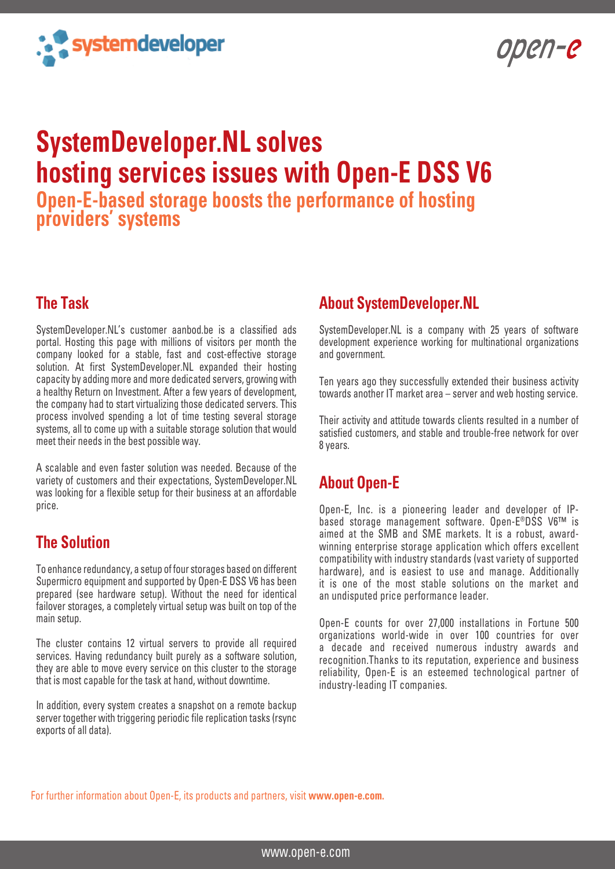

open-e

# **SystemDeveloper.NL solves hosting services issues with Open-E DSS V6**

**Open-E-based storage boosts the performance of hosting providers' systems**

#### **The Task**

SystemDeveloper.NL's customer aanbod.be is a classified ads portal. Hosting this page with millions of visitors per month the company looked for a stable, fast and cost-effective storage solution. At first SystemDeveloper.NL expanded their hosting capacity by adding more and more dedicated servers, growing with a healthy Return on Investment. After a few years of development, the company had to start virtualizing those dedicated servers. This process involved spending a lot of time testing several storage systems, all to come up with a suitable storage solution that would meet their needs in the best possible way.

A scalable and even faster solution was needed. Because of the variety of customers and their expectations, SystemDeveloper.NL was looking for a flexible setup for their business at an affordable price.

### **The Solution**

To enhance redundancy, a setup of four storages based on different Supermicro equipment and supported by Open-E DSS V6 has been prepared (see hardware setup). Without the need for identical failover storages, a completely virtual setup was built on top of the main setup.

The cluster contains 12 virtual servers to provide all required services. Having redundancy built purely as a software solution, they are able to move every service on this cluster to the storage that is most capable for the task at hand, without downtime.

In addition, every system creates a snapshot on a remote backup server together with triggering periodic file replication tasks (rsync exports of all data).

#### **About SystemDeveloper.NL**

SystemDeveloper.NL is a company with 25 years of software development experience working for multinational organizations and government.

Ten years ago they successfully extended their business activity towards another IT market area – server and web hosting service.

Their activity and attitude towards clients resulted in a number of satisfied customers, and stable and trouble-free network for over 8 years.

#### **About Open-E**

Open-E, Inc. is a pioneering leader and developer of IPbased storage management software. Open-E®DSS V6™ is aimed at the SMB and SME markets. It is a robust, awardwinning enterprise storage application which offers excellent compatibility with industry standards (vast variety of supported hardware), and is easiest to use and manage. Additionally it is one of the most stable solutions on the market and an undisputed price performance leader.

Open-E counts for over 27,000 installations in Fortune 500 organizations world-wide in over 100 countries for over a decade and received numerous industry awards and recognition.Thanks to its reputation, experience and business reliability, Open-E is an esteemed technological partner of industry-leading IT companies.

For further information about Open-E, its products and partners, visit **www.open-e.com.**